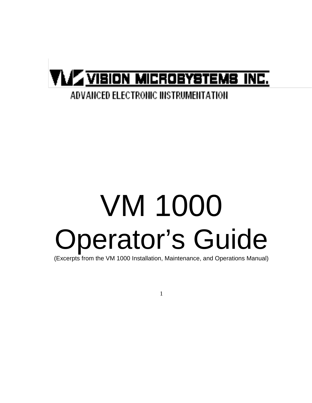# **VLA VIBION MICROBYSTEMS INC.**

### **ADVANCED ELECTRONIC INSTRUMENTATION**

# VM 1000 Operator's Guide

(Excerpts from the VM 1000 Installation, Maintenance, and Operations Manual)

1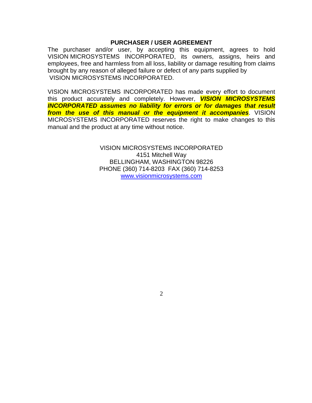#### **PURCHASER / USER AGREEMENT**

The purchaser and/or user, by accepting this equipment, agrees to hold VISION MICROSYSTEMS INCORPORATED, its owners, assigns, heirs and employees, free and harmless from all loss, liability or damage resulting from claims brought by any reason of alleged failure or defect of any parts supplied by VISION MICROSYSTEMS INCORPORATED.

VISION MICROSYSTEMS INCORPORATED has made every effort to document this product accurately and completely. However, *VISION MICROSYSTEMS INCORPORATED assumes no liability for errors or for damages that result from the use of this manual or the equipment it accompanies*. VISION MICROSYSTEMS INCORPORATED reserves the right to make changes to this manual and the product at any time without notice.

> VISION MICROSYSTEMS INCORPORATED 4151 Mitchell Way BELLINGHAM, WASHINGTON 98226 PHONE (360) 714-8203 FAX (360) 714-8253 [www.visionmicrosystems.com](http://www.visionmicrosystems.com/)

> > 2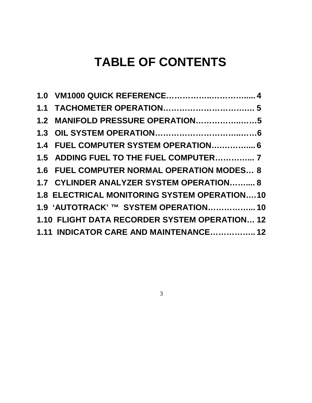## **TABLE OF CONTENTS**

| 1.5 ADDING FUEL TO THE FUEL COMPUTER 7              |  |
|-----------------------------------------------------|--|
| 1.6 FUEL COMPUTER NORMAL OPERATION MODES 8          |  |
| 1.7 CYLINDER ANALYZER SYSTEM OPERATION 8            |  |
| <b>1.8 ELECTRICAL MONITORING SYSTEM OPERATION10</b> |  |
| 1.9 'AUTOTRACK' ™ SYSTEM OPERATION 10               |  |
| 1.10 FLIGHT DATA RECORDER SYSTEM OPERATION 12       |  |
| 1.11 INDICATOR CARE AND MAINTENANCE 12              |  |

3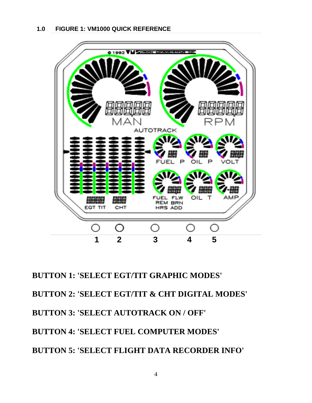

**BUTTON 1: 'SELECT EGT/TIT GRAPHIC MODES' BUTTON 2: 'SELECT EGT/TIT & CHT DIGITAL MODES' BUTTON 3: 'SELECT AUTOTRACK ON / OFF' BUTTON 4: 'SELECT FUEL COMPUTER MODES' BUTTON 5: 'SELECT FLIGHT DATA RECORDER INFO'**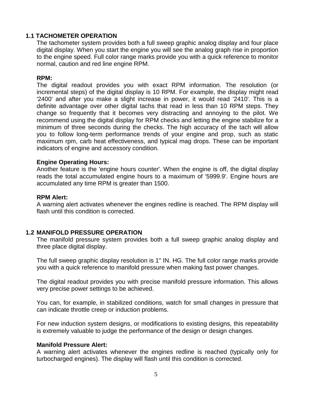#### **1.1 TACHOMETER OPERATION**

The tachometer system provides both a full sweep graphic analog display and four place digital display. When you start the engine you will see the analog graph rise in proportion to the engine speed. Full color range marks provide you with a quick reference to monitor normal, caution and red line engine RPM.

#### **RPM:**

The digital readout provides you with exact RPM information. The resolution (or incremental steps) of the digital display is 10 RPM. For example, the display might read '2400' and after you make a slight increase in power, it would read '2410'. This is a definite advantage over other digital tachs that read in less than 10 RPM steps. They change so frequently that it becomes very distracting and annoying to the pilot. We recommend using the digital display for RPM checks and letting the engine stabilize for a minimum of three seconds during the checks. The high accuracy of the tach will allow you to follow long-term performance trends of your engine and prop, such as static maximum rpm, carb heat effectiveness, and typical mag drops. These can be important indicators of engine and accessory condition.

#### **Engine Operating Hours:**

Another feature is the 'engine hours counter'. When the engine is off, the digital display reads the total accumulated engine hours to a maximum of '5999.9'. Engine hours are accumulated any time RPM is greater than 1500.

#### **RPM Alert:**

A warning alert activates whenever the engines redline is reached. The RPM display will flash until this condition is corrected.

#### **1.2 MANIFOLD PRESSURE OPERATION**

The manifold pressure system provides both a full sweep graphic analog display and three place digital display.

The full sweep graphic display resolution is 1" IN. HG. The full color range marks provide you with a quick reference to manifold pressure when making fast power changes.

The digital readout provides you with precise manifold pressure information. This allows very precise power settings to be achieved.

You can, for example, in stabilized conditions, watch for small changes in pressure that can indicate throttle creep or induction problems.

For new induction system designs, or modifications to existing designs, this repeatability is extremely valuable to judge the performance of the design or design changes.

#### **Manifold Pressure Alert:**

A warning alert activates whenever the engines redline is reached (typically only for turbocharged engines). The display will flash until this condition is corrected.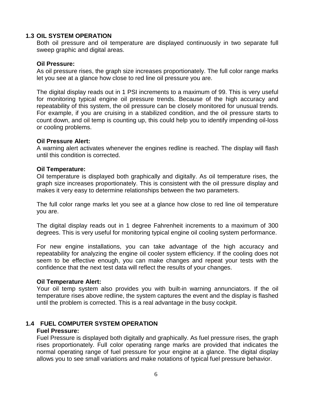#### **1.3 OIL SYSTEM OPERATION**

Both oil pressure and oil temperature are displayed continuously in two separate full sweep graphic and digital areas.

#### **Oil Pressure:**

As oil pressure rises, the graph size increases proportionately. The full color range marks let you see at a glance how close to red line oil pressure you are.

The digital display reads out in 1 PSI increments to a maximum of 99. This is very useful for monitoring typical engine oil pressure trends. Because of the high accuracy and repeatability of this system, the oil pressure can be closely monitored for unusual trends. For example, if you are cruising in a stabilized condition, and the oil pressure starts to count down, and oil temp is counting up, this could help you to identify impending oil-loss or cooling problems.

#### **Oil Pressure Alert:**

A warning alert activates whenever the engines redline is reached. The display will flash until this condition is corrected.

#### **Oil Temperature:**

Oil temperature is displayed both graphically and digitally. As oil temperature rises, the graph size increases proportionately. This is consistent with the oil pressure display and makes it very easy to determine relationships between the two parameters.

The full color range marks let you see at a glance how close to red line oil temperature you are.

The digital display reads out in 1 degree Fahrenheit increments to a maximum of 300 degrees. This is very useful for monitoring typical engine oil cooling system performance.

For new engine installations, you can take advantage of the high accuracy and repeatability for analyzing the engine oil cooler system efficiency. If the cooling does not seem to be effective enough, you can make changes and repeat your tests with the confidence that the next test data will reflect the results of your changes.

#### **Oil Temperature Alert:**

Your oil temp system also provides you with built-in warning annunciators. If the oil temperature rises above redline, the system captures the event and the display is flashed until the problem is corrected. This is a real advantage in the busy cockpit.

#### **1.4 FUEL COMPUTER SYSTEM OPERATION**

#### **Fuel Pressure:**

Fuel Pressure is displayed both digitally and graphically. As fuel pressure rises, the graph rises proportionately. Full color operating range marks are provided that indicates the normal operating range of fuel pressure for your engine at a glance. The digital display allows you to see small variations and make notations of typical fuel pressure behavior.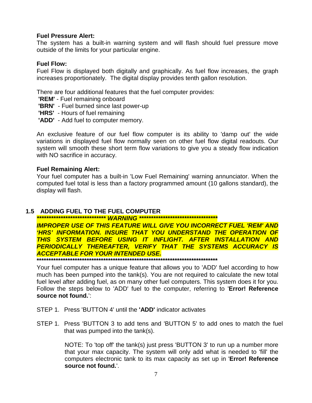#### **Fuel Pressure Alert:**

The system has a built-in warning system and will flash should fuel pressure move outside of the limits for your particular engine.

#### **Fuel Flow:**

Fuel Flow is displayed both digitally and graphically. As fuel flow increases, the graph increases proportionately. The digital display provides tenth gallon resolution.

There are four additional features that the fuel computer provides:

**'REM'** - Fuel remaining onboard

**'BRN'** - Fuel burned since last power-up

**'HRS'** - Hours of fuel remaining

**'ADD'** - Add fuel to computer memory.

An exclusive feature of our fuel flow computer is its ability to 'damp out' the wide variations in displayed fuel flow normally seen on other fuel flow digital readouts. Our system will smooth these short term flow variations to give you a steady flow indication with NO sacrifice in accuracy.

#### **Fuel Remaining Alert:**

Your fuel computer has a built-in 'Low Fuel Remaining' warning annunciator. When the computed fuel total is less than a factory programmed amount (10 gallons standard), the display will flash.

#### **1.5 ADDING FUEL TO THE FUEL COMPUTER**

*\*\*\*\*\*\*\*\*\*\*\*\*\*\*\*\*\*\*\*\*\*\*\*\*\*\*\*\*\* WARNING \*\*\*\*\*\*\*\*\*\*\*\*\*\*\*\*\*\*\*\*\*\*\*\*\*\*\*\*\*\*\*\*\**

*IMPROPER USE OF THIS FEATURE WILL GIVE YOU INCORRECT FUEL 'REM' AND 'HRS' INFORMATION. INSURE THAT YOU UNDERSTAND THE OPERATION OF THIS SYSTEM BEFORE USING IT INFLIGHT. AFTER INSTALLATION AND PERIODICALLY THEREAFTER, VERIFY THAT THE SYSTEMS ACCURACY IS ACCEPTABLE FOR YOUR INTENDED USE.*

**\*\*\*\*\*\*\*\*\*\*\*\*\*\*\*\*\*\*\*\*\*\*\*\*\*\*\*\*\*\*\*\*\*\*\*\*\*\*\*\*\*\*\*\*\*\*\*\*\*\*\*\*\*\*\*\*\*\*\*\*\*\*\*\*\*\*\*\*\*\*\*\*\*\*\*\***

Your fuel computer has a unique feature that allows you to 'ADD' fuel according to how much has been pumped into the tank(s). You are not required to calculate the new total fuel level after adding fuel, as on many other fuel computers. This system does it for you. Follow the steps below to 'ADD' fuel to the computer, referring to '**Error! Reference source not found.**':

- STEP 1. Press 'BUTTON 4' until the **'ADD'** indicator activates
- STEP 1. Press 'BUTTON 3 to add tens and 'BUTTON 5' to add ones to match the fuel that was pumped into the tank(s).

NOTE: To 'top off' the tank(s) just press 'BUTTON 3' to run up a number more that your max capacity. The system will only add what is needed to 'fill' the computers electronic tank to its max capacity as set up in '**Error! Reference source not found.**'.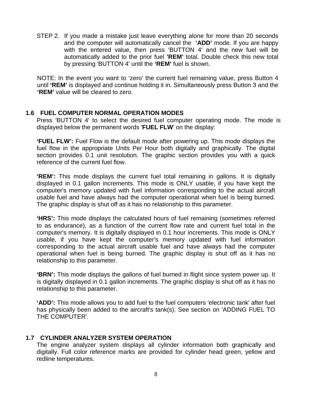STEP 2. If you made a mistake just leave everything alone for more than 20 seconds and the computer will automatically cancel the **'ADD'** mode. If you are happy with the entered value, then press 'BUTTON 4' and the new fuel will be automatically added to the prior fuel **'REM'** total. Double check this new total by pressing 'BUTTON 4' until the **'REM'** fuel is shown.

NOTE: In the event you want to 'zero' the current fuel remaining value, press Button 4 until **'REM'** is displayed and continue holding it in. Simultaneously press Button 3 and the **'REM'** value will be cleared to zero.

#### **1.6 FUEL COMPUTER NORMAL OPERATION MODES**

Press 'BUTTON 4' to select the desired fuel computer operating mode. The mode is displayed below the permanent words '**FUEL FLW**' on the display:

**'FUEL FLW':** Fuel Flow is the default mode after powering up. This mode displays the fuel flow in the appropriate Units Per Hour both digitally and graphically. The digital section provides 0.1 unit resolution. The graphic section provides you with a quick reference of the current fuel flow.

**'REM':** This mode displays the current fuel total remaining in gallons. It is digitally displayed in 0.1 gallon increments. This mode is ONLY usable, if you have kept the computer's memory updated with fuel information corresponding to the actual aircraft usable fuel and have always had the computer operational when fuel is being burned. The graphic display is shut off as it has no relationship to this parameter.

**'HRS':** This mode displays the calculated hours of fuel remaining (sometimes referred to as endurance), as a function of the current flow rate and current fuel total in the computer's memory. It is digitally displayed in 0.1 hour increments. This mode is ONLY usable, if you have kept the computer's memory updated with fuel information corresponding to the actual aircraft usable fuel and have always had the computer operational when fuel is being burned. The graphic display is shut off as it has no relationship to this parameter.

**'BRN':** This mode displays the gallons of fuel burned in flight since system power up. It is digitally displayed in 0.1 gallon increments. The graphic display is shut off as it has no relationship to this parameter.

**'ADD':** This mode allows you to add fuel to the fuel computers 'electronic tank' after fuel has physically been added to the aircraft's tank(s). See section on 'ADDING FUEL TO THE COMPUTER'.

#### **1.7 CYLINDER ANALYZER SYSTEM OPERATION**

The engine analyzer system displays all cylinder information both graphically and digitally. Full color reference marks are provided for cylinder head green, yellow and redline temperatures.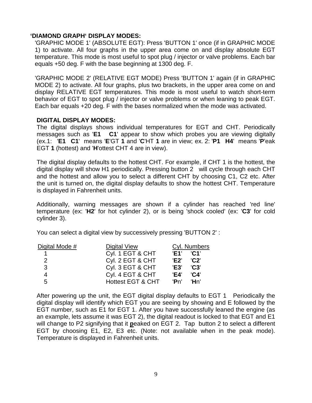#### **'DIAMOND GRAPH' DISPLAY MODES:**

'GRAPHIC MODE 1' (ABSOLUTE EGT): Press 'BUTTON 1' once (if in GRAPHIC MODE 1) to activate. All four graphs in the upper area come on and display absolute EGT temperature. This mode is most useful to spot plug / injector or valve problems. Each bar equals +50 deg. F with the base beginning at 1300 deg. F.

'GRAPHIC MODE 2' (RELATIVE EGT MODE) Press 'BUTTON 1' again (if in GRAPHIC MODE 2) to activate. All four graphs, plus two brackets, in the upper area come on and display RELATIVE EGT temperatures. This mode is most useful to watch short-term behavior of EGT to spot plug / injector or valve problems or when leaning to peak EGT. Each bar equals +20 deg. F with the bases normalized when the mode was activated.

#### **DIGITAL DISPLAY MODES:**

The digital displays shows individual temperatures for EGT and CHT. Periodically messages such as '**E1 C1**' appear to show which probes you are viewing digitally (ex.1: '**E1 C1**' means '**E**'GT **1** and '**C**'HT **1** are in view; ex. 2: '**P1 H4**' means '**P**'eak EGT **1** (hottest) and '**H**'ottest CHT 4 are in view).

The digital display defaults to the hottest CHT. For example, if CHT 1 is the hottest, the digital display will show H1 periodically. Pressing button 2 will cycle through each CHT and the hottest and allow you to select a different CHT by choosing C1, C2 etc. After the unit is turned on, the digital display defaults to show the hottest CHT. Temperature is displayed in Fahrenheit units.

Additionally, warning messages are shown if a cylinder has reached 'red line' temperature (ex: '**H2**' for hot cylinder 2), or is being 'shock cooled' (ex: '**C3**' for cold cylinder 3).

You can select a digital view by successively pressing 'BUTTON 2' :

| Digital Mode # | Digital View                 |             | Cyl. Numbers               |  |
|----------------|------------------------------|-------------|----------------------------|--|
|                | Cyl. 1 EGT & CHT             | 'F1'        | $^{\prime}$ C1 $^{\prime}$ |  |
| 2              | Cyl. 2 EGT & CHT             | 'E2'        | $^{\prime}$ C2 $^{\prime}$ |  |
| 3              | Cyl. 3 EGT & CHT             | <b>'E3'</b> | $'$ C3 $'$                 |  |
| 4              | Cyl. 4 EGT & CHT             | 'E4'        | $^{\prime}$ C4 $^{\prime}$ |  |
| 5              | <b>Hottest EGT &amp; CHT</b> | 'Pn'        | 'Hn'                       |  |

After powering up the unit, the EGT digital display defaults to EGT 1 Periodically the digital display will identify which EGT you are seeing by showing and E followed by the EGT number, such as E1 for EGT 1. After you have successfully leaned the engine (as an example, lets assume it was EGT 2), the digital readout is locked to that EGT and E1 will change to P2 signifying that it **p**eaked on EGT 2. Tap button 2 to select a different EGT by choosing E1, E2, E3 etc. (Note: not available when in the peak mode). Temperature is displayed in Fahrenheit units.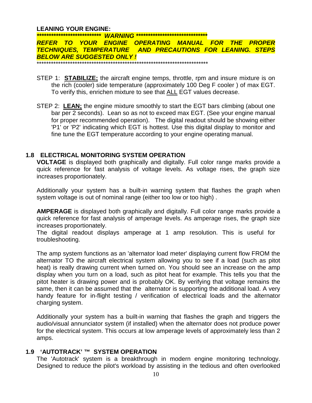#### **LEANING YOUR ENGINE:**

*\*\*\*\*\*\*\*\*\*\*\*\*\*\*\*\*\*\*\*\*\*\*\*\*\*\*\* WARNING \*\*\*\*\*\*\*\*\*\*\*\*\*\*\*\*\*\*\*\*\*\*\*\*\*\*\*\*\*\* REFER TO YOUR ENGINE OPERATING MANUAL FOR THE PROPER TECHNIQUES, TEMPERATURE AND PRECAUTIONS FOR LEANING. STEPS BELOW ARE SUGGESTED ONLY !* \*\*\*\*\*\*\*\*\*\*\*\*\*\*\*\*\*\*\*\*\*\*\*\*\*\*\*\*\*\*\*\*\*\*\*\*\*\*\*\*\*\*\*\*\*\*\*\*\*\*\*\*\*\*\*\*\*\*\*\*\*\*\*\*\*\*\*\*\*\*\*\*

- STEP 1: **STABILIZE;** the aircraft engine temps, throttle, rpm and insure mixture is on the rich (cooler) side temperature (approximately 100 Deg F cooler ) of max EGT. To verify this, enrichen mixture to see that ALL EGT values decrease.
- STEP 2: **LEAN;** the engine mixture smoothly to start the EGT bars climbing (about one bar per 2 seconds). Lean so as not to exceed max EGT. (See your engine manual for proper recommended operation). The digital readout should be showing either 'P1' or 'P2' indicating which EGT is hottest. Use this digital display to monitor and fine tune the EGT temperature according to your engine operating manual.

#### **1.8 ELECTRICAL MONITORING SYSTEM OPERATION**

**VOLTAGE** is displayed both graphically and digitally. Full color range marks provide a quick reference for fast analysis of voltage levels. As voltage rises, the graph size increases proportionately.

Additionally your system has a built-in warning system that flashes the graph when system voltage is out of nominal range (either too low or too high) .

**AMPERAGE** is displayed both graphically and digitally. Full color range marks provide a quick reference for fast analysis of amperage levels. As amperage rises, the graph size increases proportionately.

The digital readout displays amperage at 1 amp resolution. This is useful for troubleshooting.

The amp system functions as an 'alternator load meter' displaying current flow FROM the alternator TO the aircraft electrical system allowing you to see if a load (such as pitot heat) is really drawing current when turned on. You should see an increase on the amp display when you turn on a load, such as pitot heat for example. This tells you that the pitot heater is drawing power and is probably OK. By verifying that voltage remains the same, then it can be assumed that the alternator is supporting the additional load. A very handy feature for in-flight testing / verification of electrical loads and the alternator charging system.

Additionally your system has a built-in warning that flashes the graph and triggers the audio/visual annunciator system (if installed) when the alternator does not produce power for the electrical system. This occurs at low amperage levels of approximately less than 2 amps.

#### **1.9 'AUTOTRACK' ™ SYSTEM OPERATION**

The 'Autotrack' system is a breakthrough in modern engine monitoring technology. Designed to reduce the pilot's workload by assisting in the tedious and often overlooked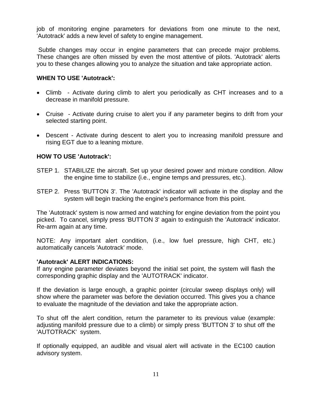job of monitoring engine parameters for deviations from one minute to the next, 'Autotrack' adds a new level of safety to engine management.

Subtle changes may occur in engine parameters that can precede major problems. These changes are often missed by even the most attentive of pilots. 'Autotrack' alerts you to these changes allowing you to analyze the situation and take appropriate action.

#### **WHEN TO USE 'Autotrack':**

- Climb Activate during climb to alert you periodically as CHT increases and to a decrease in manifold pressure.
- Cruise Activate during cruise to alert you if any parameter begins to drift from your selected starting point.
- Descent Activate during descent to alert you to increasing manifold pressure and rising EGT due to a leaning mixture.

#### **HOW TO USE 'Autotrack':**

- STEP 1. STABILIZE the aircraft. Set up your desired power and mixture condition. Allow the engine time to stabilize (i.e., engine temps and pressures, etc.).
- STEP 2. Press 'BUTTON 3'. The 'Autotrack' indicator will activate in the display and the system will begin tracking the engine's performance from this point.

The 'Autotrack' system is now armed and watching for engine deviation from the point you picked. To cancel, simply press 'BUTTON 3' again to extinguish the 'Autotrack' indicator. Re-arm again at any time.

NOTE: Any important alert condition, (i.e., low fuel pressure, high CHT, etc.) automatically cancels 'Autotrack' mode.

#### **'Autotrack' ALERT INDICATIONS:**

If any engine parameter deviates beyond the initial set point, the system will flash the corresponding graphic display and the 'AUTOTRACK' indicator.

If the deviation is large enough, a graphic pointer (circular sweep displays only) will show where the parameter was before the deviation occurred. This gives you a chance to evaluate the magnitude of the deviation and take the appropriate action.

To shut off the alert condition, return the parameter to its previous value (example: adjusting manifold pressure due to a climb) or simply press 'BUTTON 3' to shut off the 'AUTOTRACK' system.

If optionally equipped, an audible and visual alert will activate in the EC100 caution advisory system.